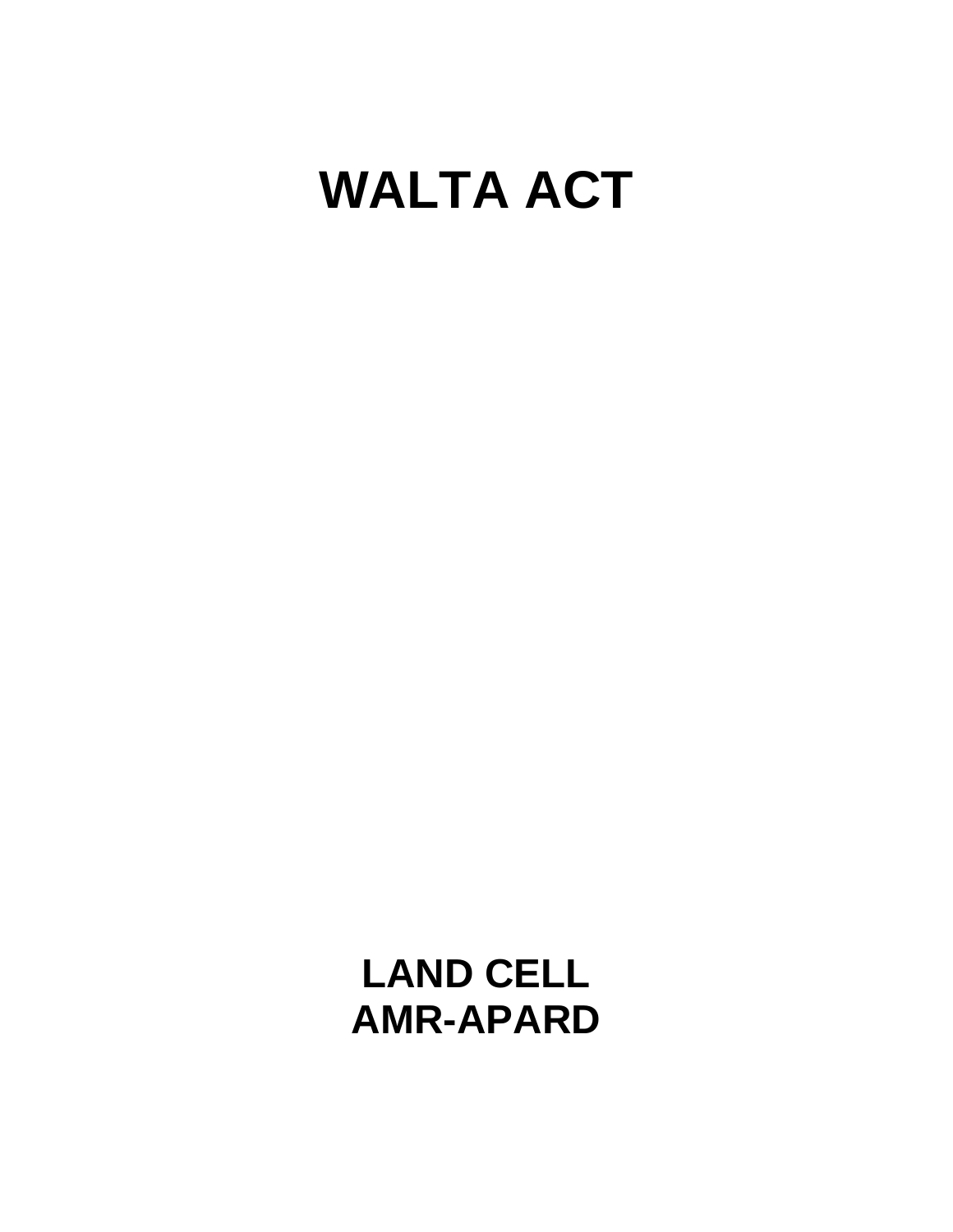# **WALTA ACT**

**LAND CELL AMR-APARD**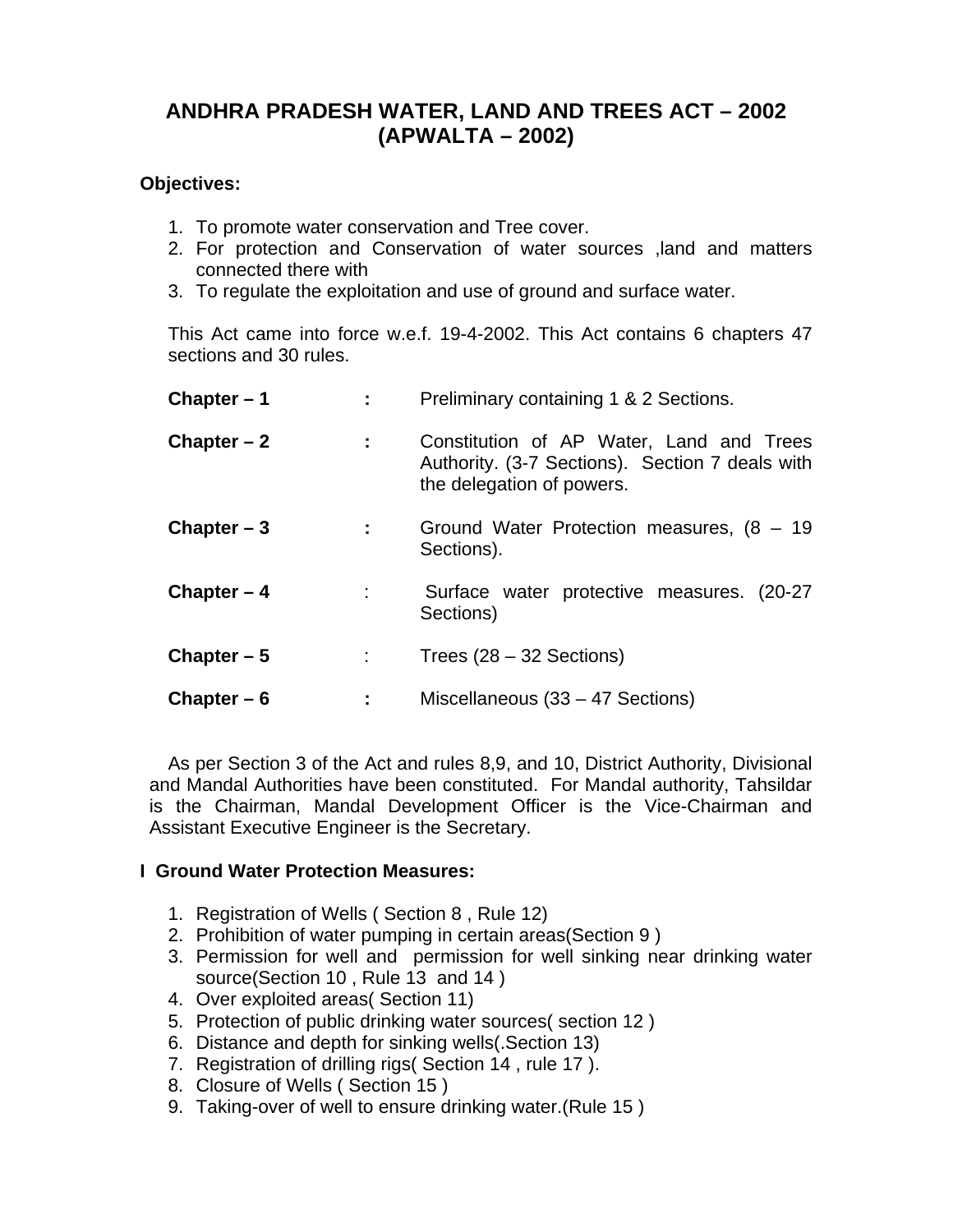# **ANDHRA PRADESH WATER, LAND AND TREES ACT – 2002 (APWALTA – 2002)**

#### **Objectives:**

- 1. To promote water conservation and Tree cover.
- 2. For protection and Conservation of water sources ,land and matters connected there with
- 3. To regulate the exploitation and use of ground and surface water.

This Act came into force w.e.f. 19-4-2002. This Act contains 6 chapters 47 sections and 30 rules.

| Chapter $-1$ |                           | Preliminary containing 1 & 2 Sections.                                                                                   |
|--------------|---------------------------|--------------------------------------------------------------------------------------------------------------------------|
| Chapter $-2$ | $\mathbb{Z}^{\mathbb{Z}}$ | Constitution of AP Water, Land and Trees<br>Authority. (3-7 Sections). Section 7 deals with<br>the delegation of powers. |
| Chapter $-3$ | $\mathbf{L}^{\text{max}}$ | Ground Water Protection measures, $(8 - 19)$<br>Sections).                                                               |
| Chapter $-4$ |                           | Surface water protective measures. (20-27)<br>Sections)                                                                  |
| Chapter $-5$ | $1 - 1$                   | Trees $(28 - 32$ Sections)                                                                                               |
| Chapter $-6$ |                           | Miscellaneous (33 – 47 Sections)                                                                                         |

As per Section 3 of the Act and rules 8,9, and 10, District Authority, Divisional and Mandal Authorities have been constituted. For Mandal authority, Tahsildar is the Chairman, Mandal Development Officer is the Vice-Chairman and Assistant Executive Engineer is the Secretary.

#### **I Ground Water Protection Measures:**

- 1. Registration of Wells ( Section 8 , Rule 12)
- 2. Prohibition of water pumping in certain areas(Section 9 )
- 3. Permission for well and permission for well sinking near drinking water source(Section 10 , Rule 13 and 14 )
- 4. Over exploited areas( Section 11)
- 5. Protection of public drinking water sources( section 12 )
- 6. Distance and depth for sinking wells(.Section 13)
- 7. Registration of drilling rigs( Section 14 , rule 17 ).
- 8. Closure of Wells ( Section 15 )
- 9. Taking-over of well to ensure drinking water.(Rule 15 )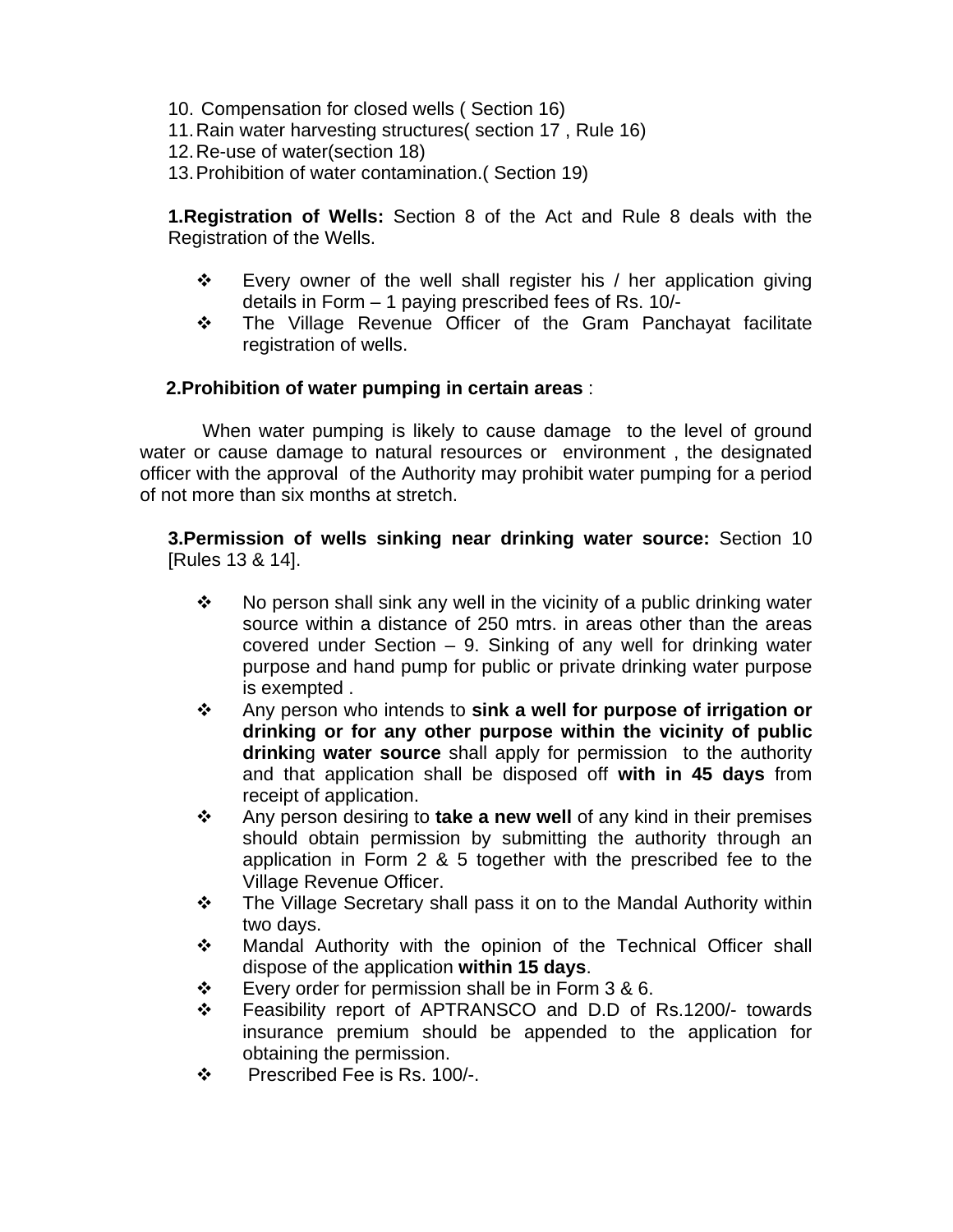- 10. Compensation for closed wells ( Section 16)
- 11. Rain water harvesting structures( section 17 , Rule 16)
- 12. Re-use of water(section 18)
- 13. Prohibition of water contamination.( Section 19)

**1.Registration of Wells:** Section 8 of the Act and Rule 8 deals with the Registration of the Wells.

- $\div$  Every owner of the well shall register his / her application giving details in Form – 1 paying prescribed fees of Rs. 10/-
- The Village Revenue Officer of the Gram Panchayat facilitate registration of wells.

# **2.Prohibition of water pumping in certain areas** :

 When water pumping is likely to cause damage to the level of ground water or cause damage to natural resources or environment , the designated officer with the approval of the Authority may prohibit water pumping for a period of not more than six months at stretch.

**3.Permission of wells sinking near drinking water source:** Section 10 [Rules 13 & 14].

- $\cdot \cdot$  No person shall sink any well in the vicinity of a public drinking water source within a distance of 250 mtrs. in areas other than the areas covered under Section – 9. Sinking of any well for drinking water purpose and hand pump for public or private drinking water purpose is exempted .
- Any person who intends to **sink a well for purpose of irrigation or drinking or for any other purpose within the vicinity of public drinkin**g **water source** shall apply for permission to the authority and that application shall be disposed off **with in 45 days** from receipt of application.
- Any person desiring to **take a new well** of any kind in their premises should obtain permission by submitting the authority through an application in Form 2 & 5 together with the prescribed fee to the Village Revenue Officer.
- ❖ The Village Secretary shall pass it on to the Mandal Authority within two days.
- Mandal Authority with the opinion of the Technical Officer shall dispose of the application **within 15 days**.
- $\div$  Every order for permission shall be in Form 3 & 6.
- Feasibility report of APTRANSCO and D.D of Rs.1200/- towards insurance premium should be appended to the application for obtaining the permission.
- Prescribed Fee is Rs. 100/-.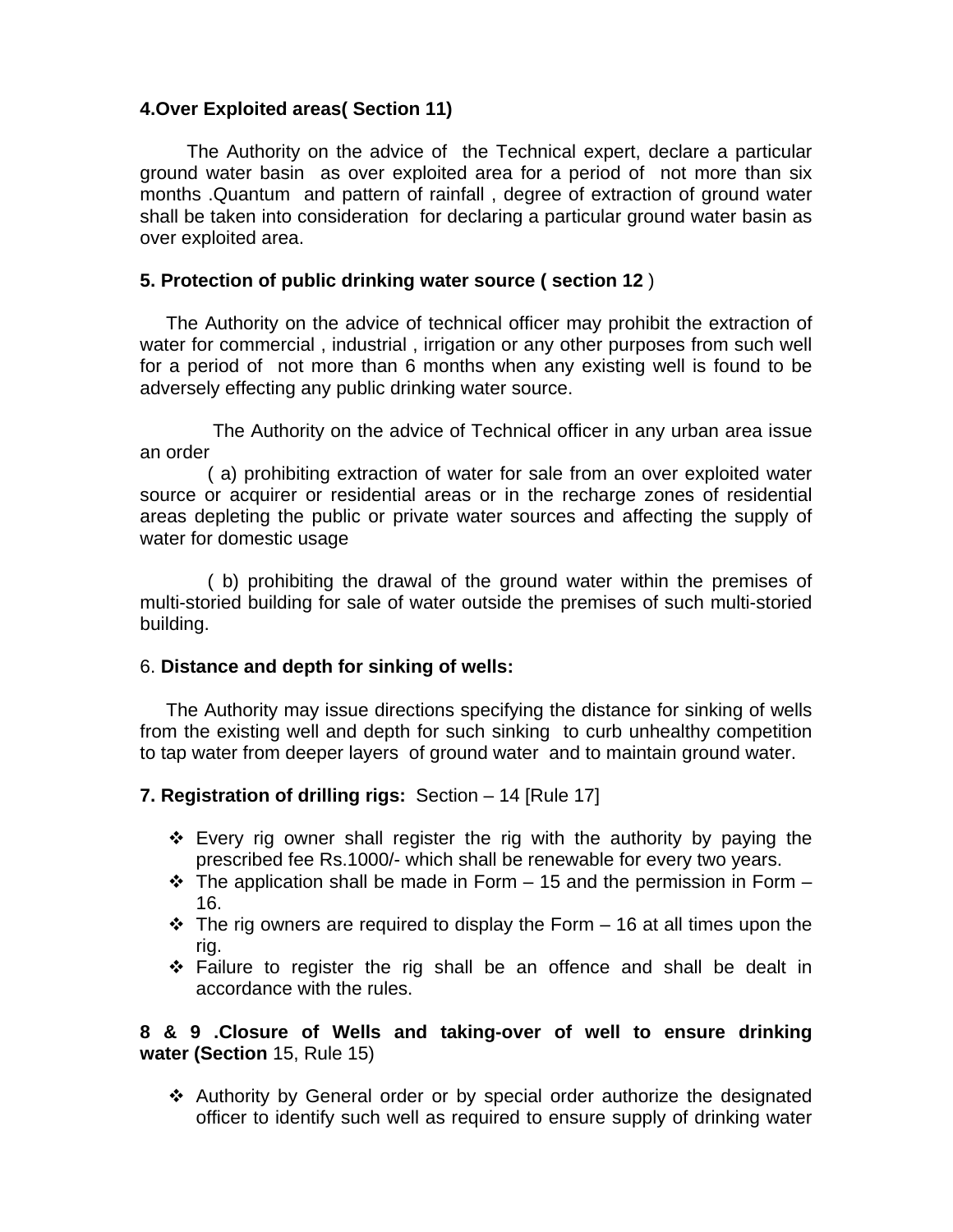# **4.Over Exploited areas( Section 11)**

The Authority on the advice of the Technical expert, declare a particular ground water basin as over exploited area for a period of not more than six months .Quantum and pattern of rainfall , degree of extraction of ground water shall be taken into consideration for declaring a particular ground water basin as over exploited area.

# **5. Protection of public drinking water source ( section 12** )

 The Authority on the advice of technical officer may prohibit the extraction of water for commercial , industrial , irrigation or any other purposes from such well for a period of not more than 6 months when any existing well is found to be adversely effecting any public drinking water source.

 The Authority on the advice of Technical officer in any urban area issue an order

 ( a) prohibiting extraction of water for sale from an over exploited water source or acquirer or residential areas or in the recharge zones of residential areas depleting the public or private water sources and affecting the supply of water for domestic usage

 ( b) prohibiting the drawal of the ground water within the premises of multi-storied building for sale of water outside the premises of such multi-storied building.

#### 6. **Distance and depth for sinking of wells:**

The Authority may issue directions specifying the distance for sinking of wells from the existing well and depth for such sinking to curb unhealthy competition to tap water from deeper layers of ground water and to maintain ground water.

#### **7. Registration of drilling rigs:** Section – 14 [Rule 17]

- $\cdot$  Every rig owner shall register the rig with the authority by paying the prescribed fee Rs.1000/- which shall be renewable for every two years.
- $\cdot \cdot$  The application shall be made in Form 15 and the permission in Form 16.
- $\div$  The rig owners are required to display the Form  $-$  16 at all times upon the rig.
- $\cdot$  Failure to register the rig shall be an offence and shall be dealt in accordance with the rules.

#### **8 & 9 .Closure of Wells and taking-over of well to ensure drinking water (Section** 15, Rule 15)

 $\div$  Authority by General order or by special order authorize the designated officer to identify such well as required to ensure supply of drinking water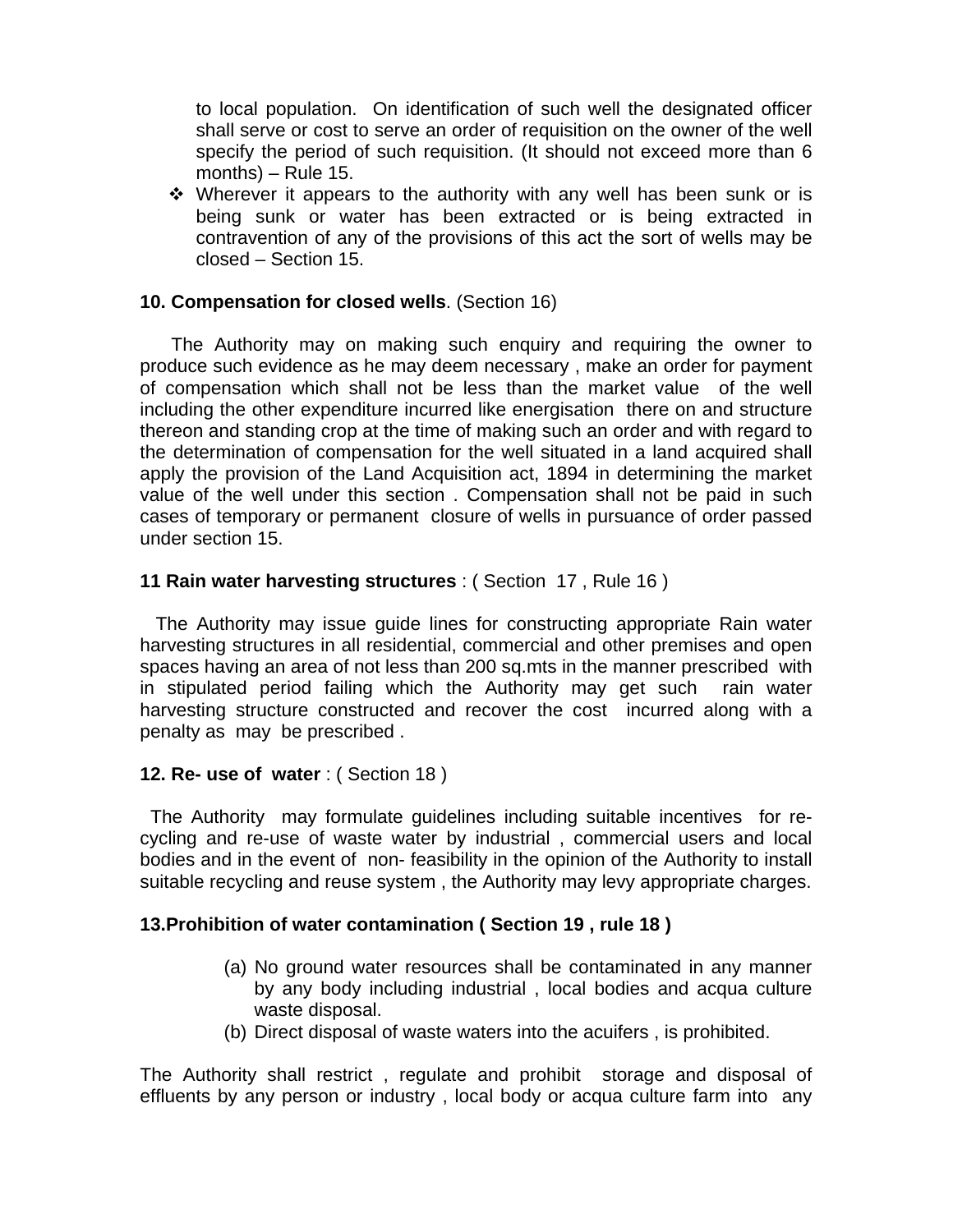to local population. On identification of such well the designated officer shall serve or cost to serve an order of requisition on the owner of the well specify the period of such requisition. (It should not exceed more than 6 months) – Rule 15.

• Wherever it appears to the authority with any well has been sunk or is being sunk or water has been extracted or is being extracted in contravention of any of the provisions of this act the sort of wells may be closed – Section 15.

#### **10. Compensation for closed wells**. (Section 16)

 The Authority may on making such enquiry and requiring the owner to produce such evidence as he may deem necessary , make an order for payment of compensation which shall not be less than the market value of the well including the other expenditure incurred like energisation there on and structure thereon and standing crop at the time of making such an order and with regard to the determination of compensation for the well situated in a land acquired shall apply the provision of the Land Acquisition act, 1894 in determining the market value of the well under this section . Compensation shall not be paid in such cases of temporary or permanent closure of wells in pursuance of order passed under section 15.

#### **11 Rain water harvesting structures** : ( Section 17 , Rule 16 )

 The Authority may issue guide lines for constructing appropriate Rain water harvesting structures in all residential, commercial and other premises and open spaces having an area of not less than 200 sq.mts in the manner prescribed with in stipulated period failing which the Authority may get such rain water harvesting structure constructed and recover the cost incurred along with a penalty as may be prescribed .

#### **12. Re- use of water** : ( Section 18 )

 The Authority may formulate guidelines including suitable incentives for recycling and re-use of waste water by industrial , commercial users and local bodies and in the event of non- feasibility in the opinion of the Authority to install suitable recycling and reuse system , the Authority may levy appropriate charges.

#### **13.Prohibition of water contamination ( Section 19 , rule 18 )**

- (a) No ground water resources shall be contaminated in any manner by any body including industrial , local bodies and acqua culture waste disposal.
- (b) Direct disposal of waste waters into the acuifers , is prohibited.

The Authority shall restrict , regulate and prohibit storage and disposal of effluents by any person or industry , local body or acqua culture farm into any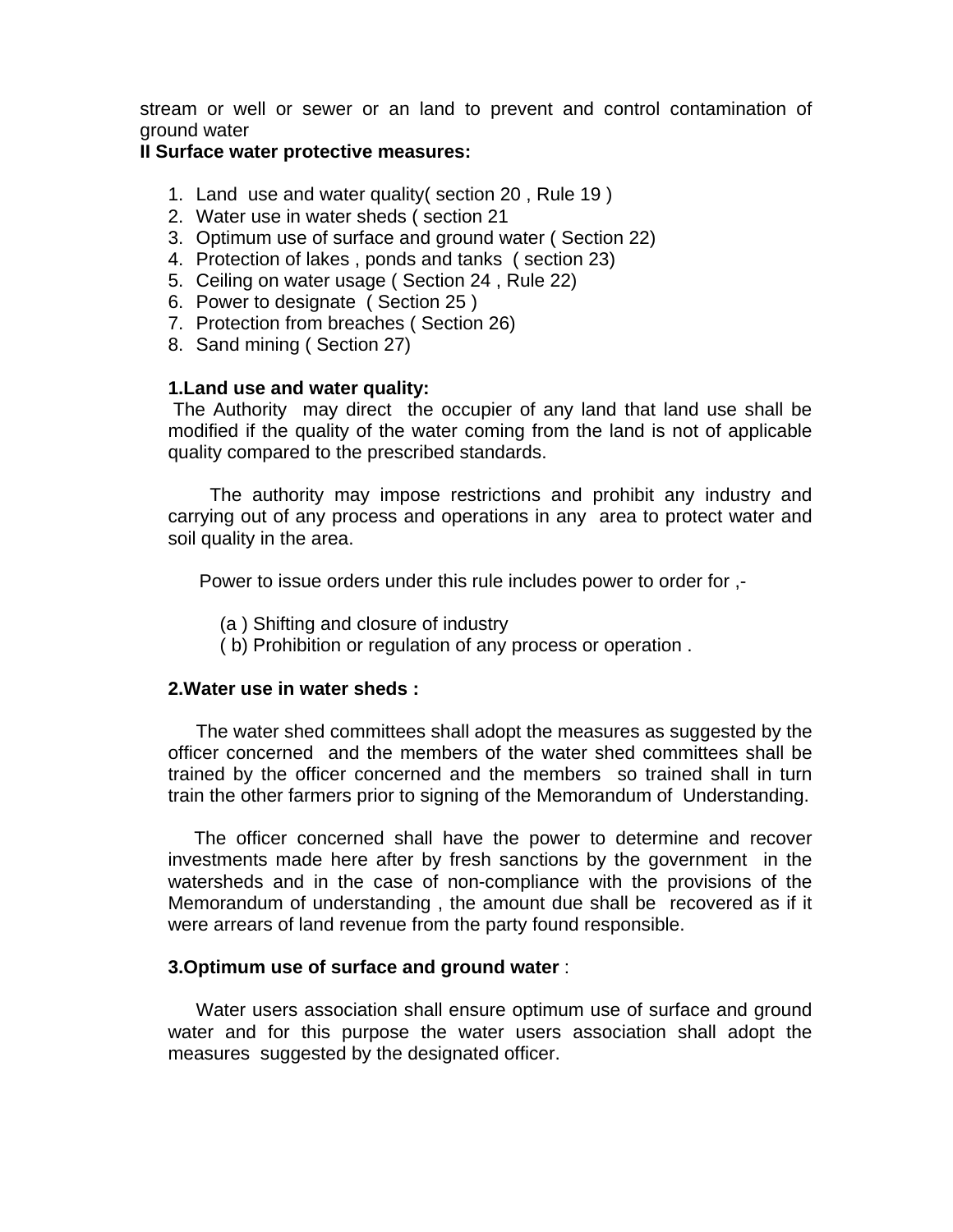stream or well or sewer or an land to prevent and control contamination of ground water

#### **II Surface water protective measures:**

- 1. Land use and water quality( section 20 , Rule 19 )
- 2. Water use in water sheds ( section 21
- 3. Optimum use of surface and ground water ( Section 22)
- 4. Protection of lakes , ponds and tanks ( section 23)
- 5. Ceiling on water usage ( Section 24 , Rule 22)
- 6. Power to designate ( Section 25 )
- 7. Protection from breaches ( Section 26)
- 8. Sand mining ( Section 27)

#### **1.Land use and water quality:**

 The Authority may direct the occupier of any land that land use shall be modified if the quality of the water coming from the land is not of applicable quality compared to the prescribed standards.

 The authority may impose restrictions and prohibit any industry and carrying out of any process and operations in any area to protect water and soil quality in the area.

Power to issue orders under this rule includes power to order for ,-

- (a ) Shifting and closure of industry
- ( b) Prohibition or regulation of any process or operation .

#### **2.Water use in water sheds :**

The water shed committees shall adopt the measures as suggested by the officer concerned and the members of the water shed committees shall be trained by the officer concerned and the members so trained shall in turn train the other farmers prior to signing of the Memorandum of Understanding.

 The officer concerned shall have the power to determine and recover investments made here after by fresh sanctions by the government in the watersheds and in the case of non-compliance with the provisions of the Memorandum of understanding , the amount due shall be recovered as if it were arrears of land revenue from the party found responsible.

#### **3.Optimum use of surface and ground water** :

 Water users association shall ensure optimum use of surface and ground water and for this purpose the water users association shall adopt the measures suggested by the designated officer.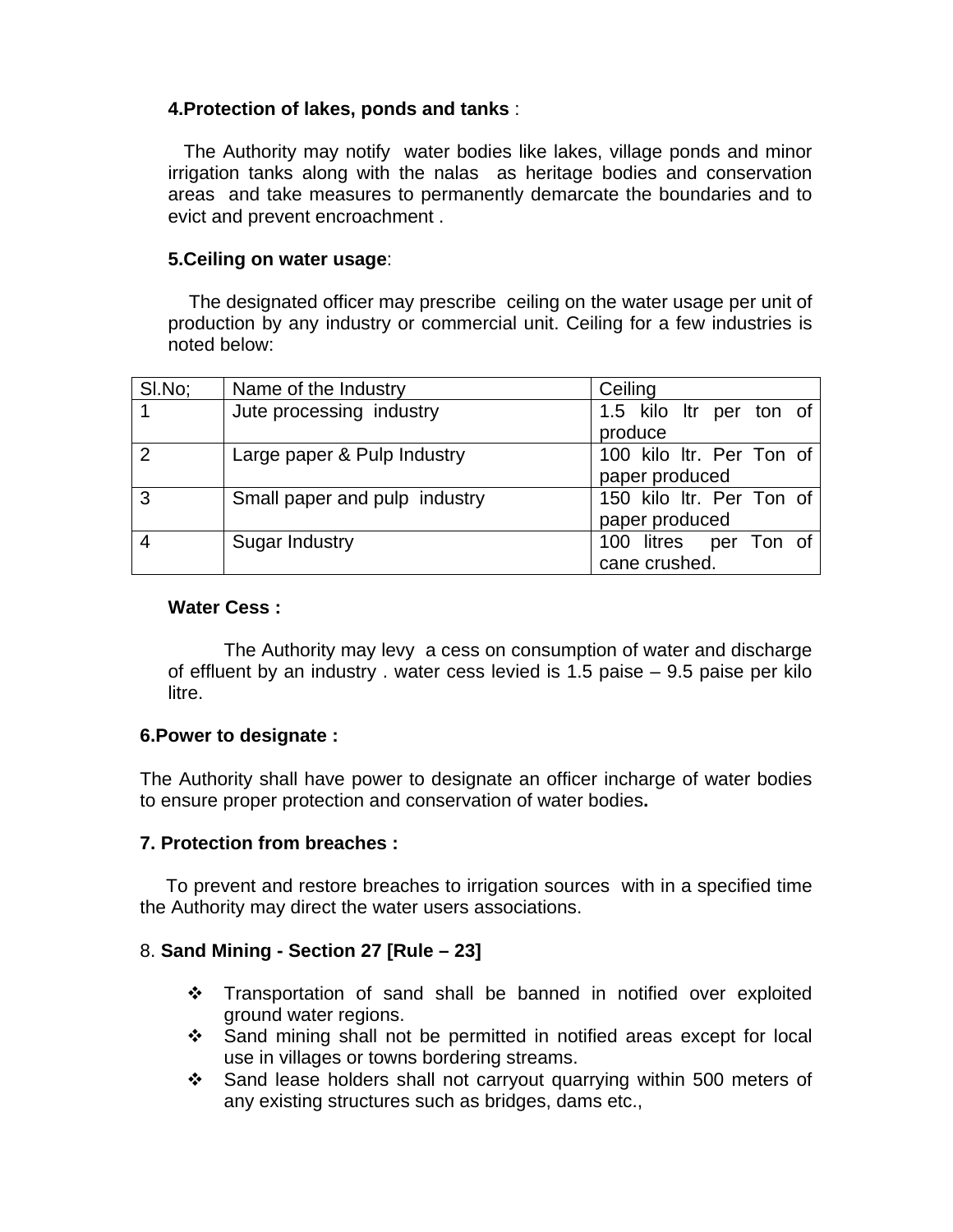# **4.Protection of lakes, ponds and tanks** :

 The Authority may notify water bodies like lakes, village ponds and minor irrigation tanks along with the nalas as heritage bodies and conservation areas and take measures to permanently demarcate the boundaries and to evict and prevent encroachment .

#### **5.Ceiling on water usage**:

 The designated officer may prescribe ceiling on the water usage per unit of production by any industry or commercial unit. Ceiling for a few industries is noted below:

| SI.No;        | Name of the Industry          | Ceiling                  |
|---------------|-------------------------------|--------------------------|
|               | Jute processing industry      | 1.5 kilo ltr per ton of  |
|               |                               | produce                  |
| $\mathcal{P}$ | Large paper & Pulp Industry   | 100 kilo ltr. Per Ton of |
|               |                               | paper produced           |
| 3             | Small paper and pulp industry | 150 kilo ltr. Per Ton of |
|               |                               | paper produced           |
|               | Sugar Industry                | 100 litres per Ton of    |
|               |                               | cane crushed.            |

#### **Water Cess :**

The Authority may levy a cess on consumption of water and discharge of effluent by an industry . water cess levied is 1.5 paise – 9.5 paise per kilo litre.

#### **6.Power to designate :**

The Authority shall have power to designate an officer incharge of water bodies to ensure proper protection and conservation of water bodies**.** 

#### **7. Protection from breaches :**

To prevent and restore breaches to irrigation sources with in a specified time the Authority may direct the water users associations.

#### 8. **Sand Mining - Section 27 [Rule – 23]**

- \* Transportation of sand shall be banned in notified over exploited ground water regions.
- Sand mining shall not be permitted in notified areas except for local use in villages or towns bordering streams.
- Sand lease holders shall not carryout quarrying within 500 meters of any existing structures such as bridges, dams etc.,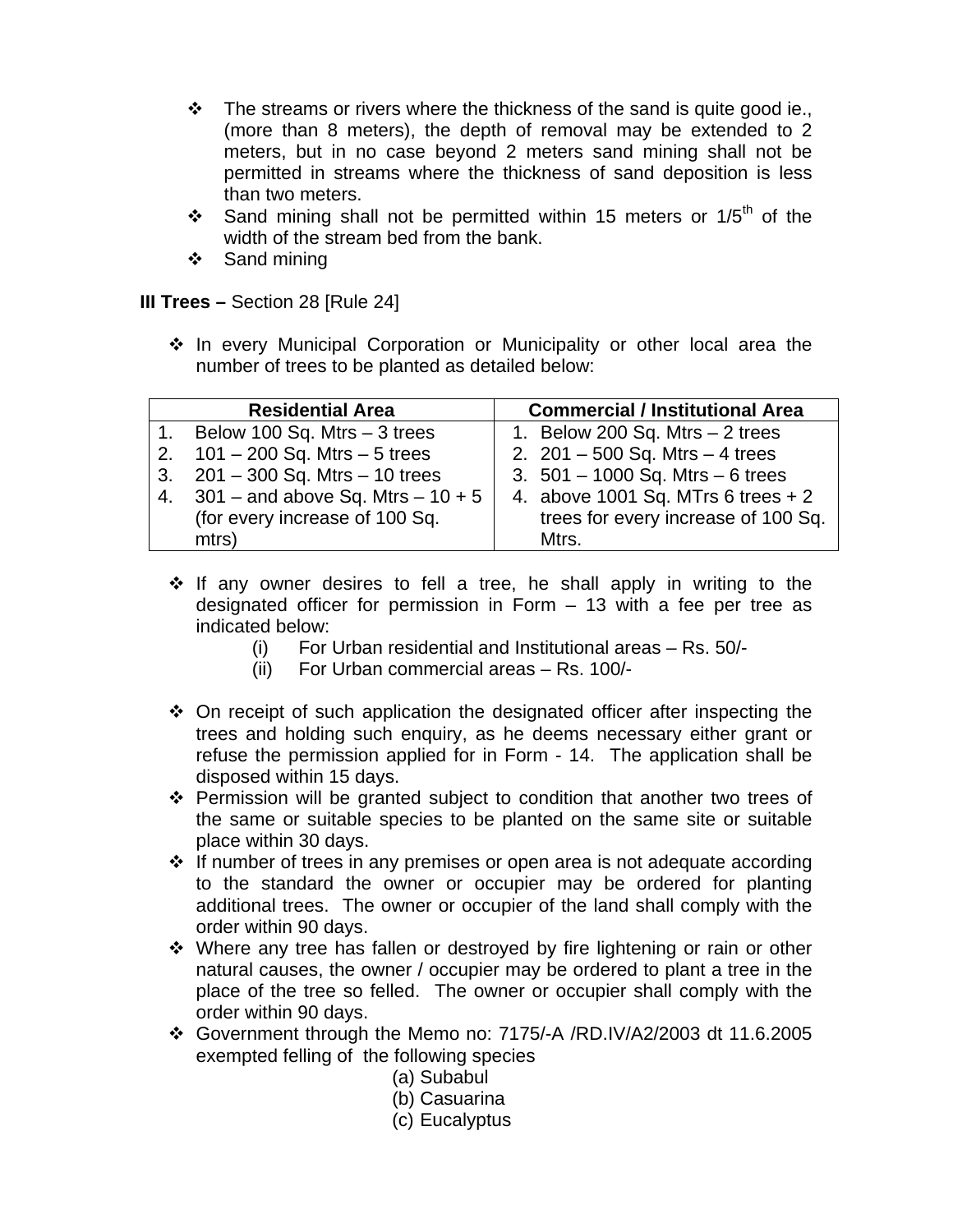- $\cdot \cdot$  The streams or rivers where the thickness of the sand is quite good ie., (more than 8 meters), the depth of removal may be extended to 2 meters, but in no case beyond 2 meters sand mining shall not be permitted in streams where the thickness of sand deposition is less than two meters.
- Sand mining shall not be permitted within 15 meters or  $1/5<sup>th</sup>$  of the width of the stream bed from the bank.
- $\div$  Sand mining

**III Trees –** Section 28 [Rule 24]

\* In every Municipal Corporation or Municipality or other local area the number of trees to be planted as detailed below:

|    | <b>Residential Area</b>             | <b>Commercial / Institutional Area</b> |
|----|-------------------------------------|----------------------------------------|
|    | Below 100 Sq. Mtrs - 3 trees        | 1. Below 200 Sq. Mtrs $-2$ trees       |
|    | 2. $101 - 200$ Sq. Mtrs $-5$ trees  | 2. $201 - 500$ Sq. Mtrs $-4$ trees     |
| 3. | $201 - 300$ Sq. Mtrs $- 10$ trees   | 3. $501 - 1000$ Sq. Mtrs $-6$ trees    |
| 4. | $301$ – and above Sq. Mtrs – 10 + 5 | 4. above 1001 Sq. MTrs 6 trees $+2$    |
|    | (for every increase of 100 Sq.      | trees for every increase of 100 Sq.    |
|    | mtrs)                               | Mtrs.                                  |

- $\div$  If any owner desires to fell a tree, he shall apply in writing to the designated officer for permission in Form – 13 with a fee per tree as indicated below:
	- (i) For Urban residential and Institutional areas Rs. 50/-
	- (ii) For Urban commercial areas Rs. 100/-
- $\div$  On receipt of such application the designated officer after inspecting the trees and holding such enquiry, as he deems necessary either grant or refuse the permission applied for in Form - 14. The application shall be disposed within 15 days.
- Permission will be granted subject to condition that another two trees of the same or suitable species to be planted on the same site or suitable place within 30 days.
- If number of trees in any premises or open area is not adequate according to the standard the owner or occupier may be ordered for planting additional trees. The owner or occupier of the land shall comply with the order within 90 days.
- Where any tree has fallen or destroyed by fire lightening or rain or other natural causes, the owner / occupier may be ordered to plant a tree in the place of the tree so felled. The owner or occupier shall comply with the order within 90 days.
- Government through the Memo no: 7175/-A /RD.IV/A2/2003 dt 11.6.2005 exempted felling of the following species
	- (a) Subabul
	- (b) Casuarina
	- (c) Eucalyptus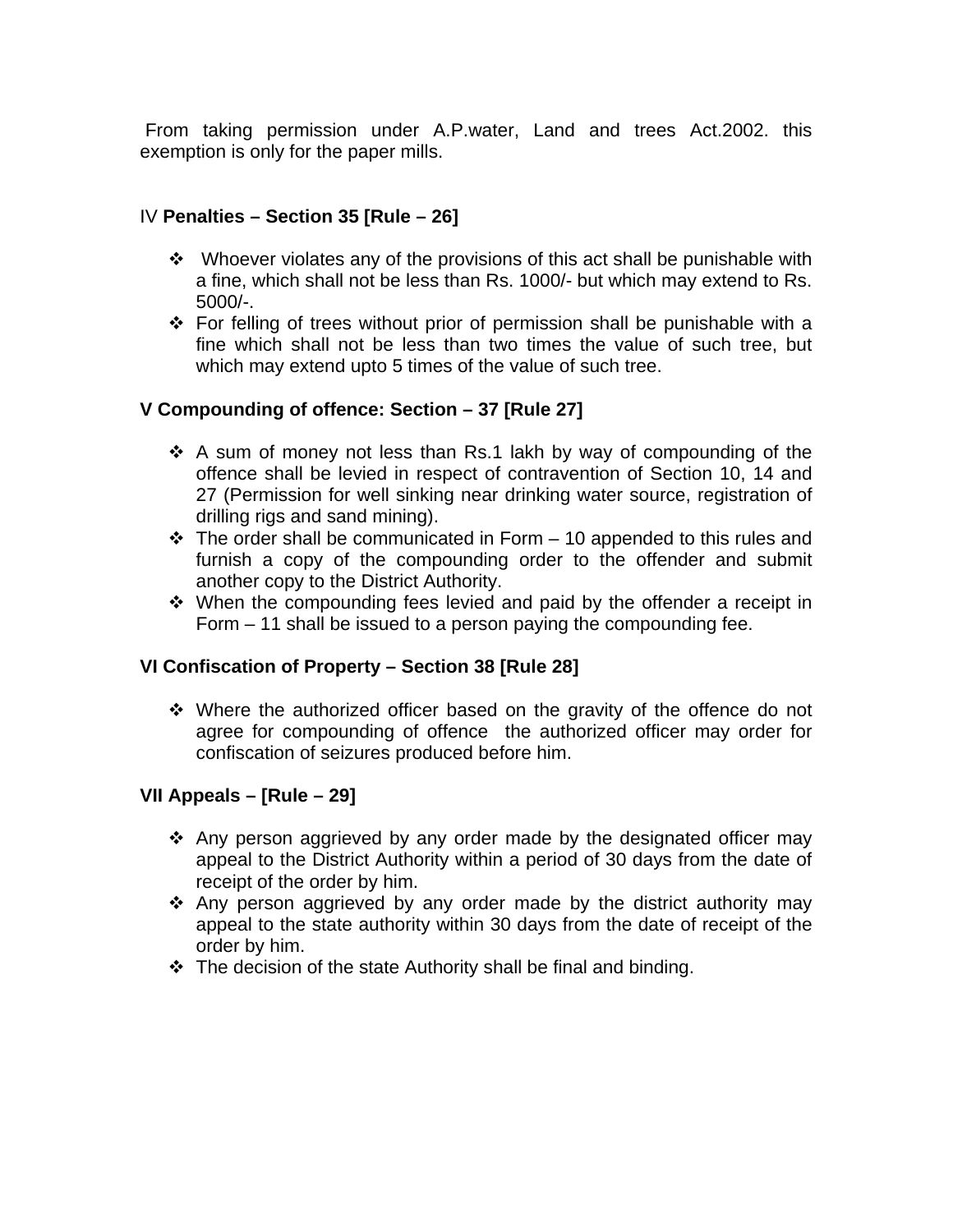From taking permission under A.P.water, Land and trees Act.2002. this exemption is only for the paper mills.

#### IV **Penalties – Section 35 [Rule – 26]**

- $\div$  Whoever violates any of the provisions of this act shall be punishable with a fine, which shall not be less than Rs. 1000/- but which may extend to Rs. 5000/-.
- For felling of trees without prior of permission shall be punishable with a fine which shall not be less than two times the value of such tree, but which may extend upto 5 times of the value of such tree.

# **V Compounding of offence: Section – 37 [Rule 27]**

- $\cdot$  A sum of money not less than Rs.1 lakh by way of compounding of the offence shall be levied in respect of contravention of Section 10, 14 and 27 (Permission for well sinking near drinking water source, registration of drilling rigs and sand mining).
- $\cdot \cdot$  The order shall be communicated in Form 10 appended to this rules and furnish a copy of the compounding order to the offender and submit another copy to the District Authority.
- $\div$  When the compounding fees levied and paid by the offender a receipt in Form – 11 shall be issued to a person paying the compounding fee.

#### **VI Confiscation of Property – Section 38 [Rule 28]**

 Where the authorized officer based on the gravity of the offence do not agree for compounding of offence the authorized officer may order for confiscation of seizures produced before him.

#### **VII Appeals – [Rule – 29]**

- $\cdot$  Any person aggrieved by any order made by the designated officer may appeal to the District Authority within a period of 30 days from the date of receipt of the order by him.
- $\cdot$  Any person aggrieved by any order made by the district authority may appeal to the state authority within 30 days from the date of receipt of the order by him.
- $\cdot \cdot$  The decision of the state Authority shall be final and binding.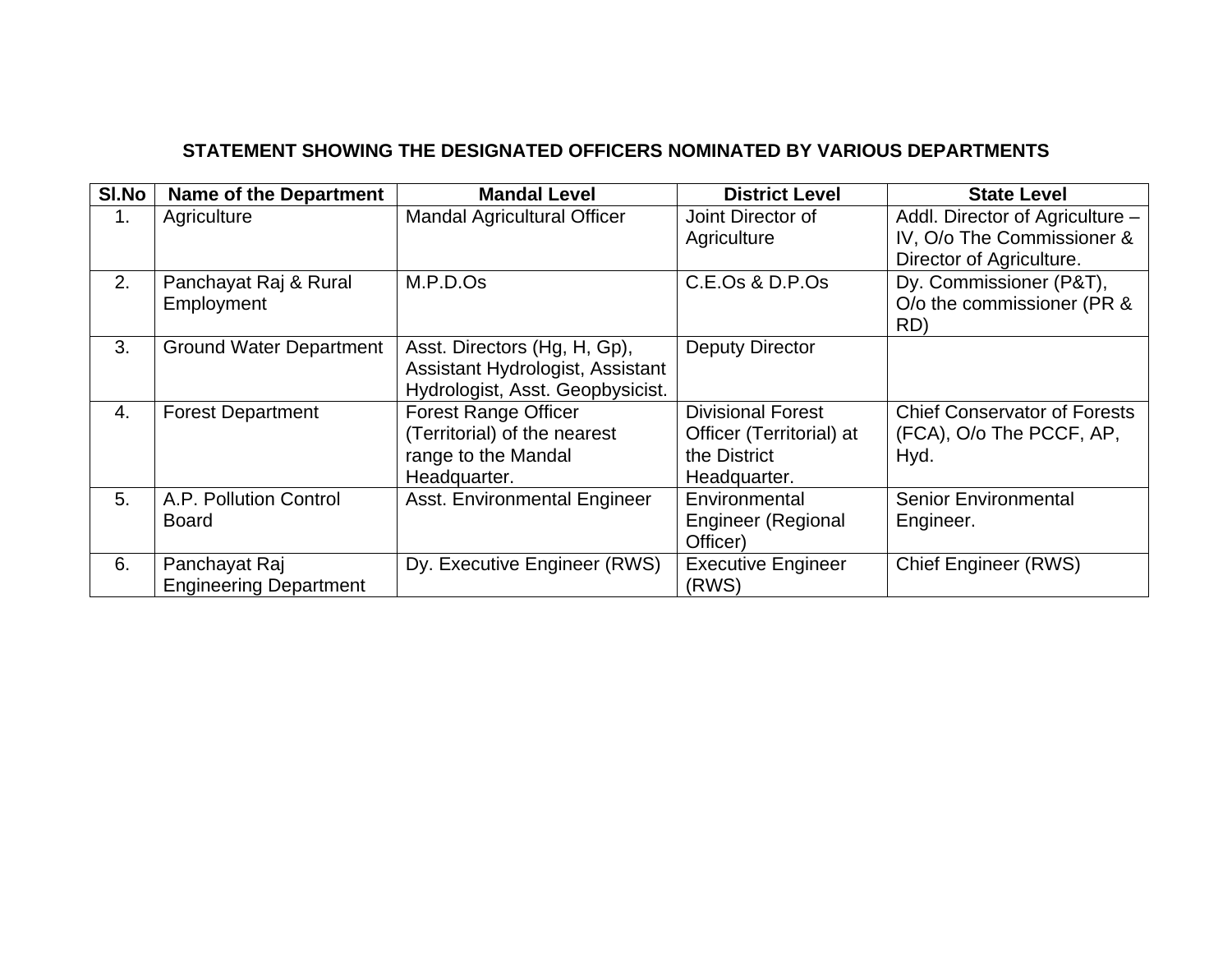# **STATEMENT SHOWING THE DESIGNATED OFFICERS NOMINATED BY VARIOUS DEPARTMENTS**

| SI.No | <b>Name of the Department</b>                  | <b>Mandal Level</b>                                                                                  | <b>District Level</b>                                                                | <b>State Level</b>                                                                        |
|-------|------------------------------------------------|------------------------------------------------------------------------------------------------------|--------------------------------------------------------------------------------------|-------------------------------------------------------------------------------------------|
| 1.    | Agriculture                                    | <b>Mandal Agricultural Officer</b>                                                                   | Joint Director of<br>Agriculture                                                     | Addl. Director of Agriculture -<br>IV, O/o The Commissioner &<br>Director of Agriculture. |
| 2.    | Panchayat Raj & Rural<br>Employment            | M.P.D.Os                                                                                             | C.E.Os & D.P.Os                                                                      | Dy. Commissioner (P&T),<br>O/o the commissioner (PR &<br>RD)                              |
| 3.    | <b>Ground Water Department</b>                 | Asst. Directors (Hg, H, Gp),<br>Assistant Hydrologist, Assistant<br>Hydrologist, Asst. Geopbysicist. | <b>Deputy Director</b>                                                               |                                                                                           |
| 4.    | <b>Forest Department</b>                       | <b>Forest Range Officer</b><br>(Territorial) of the nearest<br>range to the Mandal<br>Headquarter.   | <b>Divisional Forest</b><br>Officer (Territorial) at<br>the District<br>Headquarter. | <b>Chief Conservator of Forests</b><br>(FCA), O/o The PCCF, AP,<br>Hyd.                   |
| 5.    | A.P. Pollution Control<br><b>Board</b>         | Asst. Environmental Engineer                                                                         | Environmental<br><b>Engineer (Regional</b><br>Officer)                               | <b>Senior Environmental</b><br>Engineer.                                                  |
| 6.    | Panchayat Raj<br><b>Engineering Department</b> | Dy. Executive Engineer (RWS)                                                                         | <b>Executive Engineer</b><br>(RWS)                                                   | <b>Chief Engineer (RWS)</b>                                                               |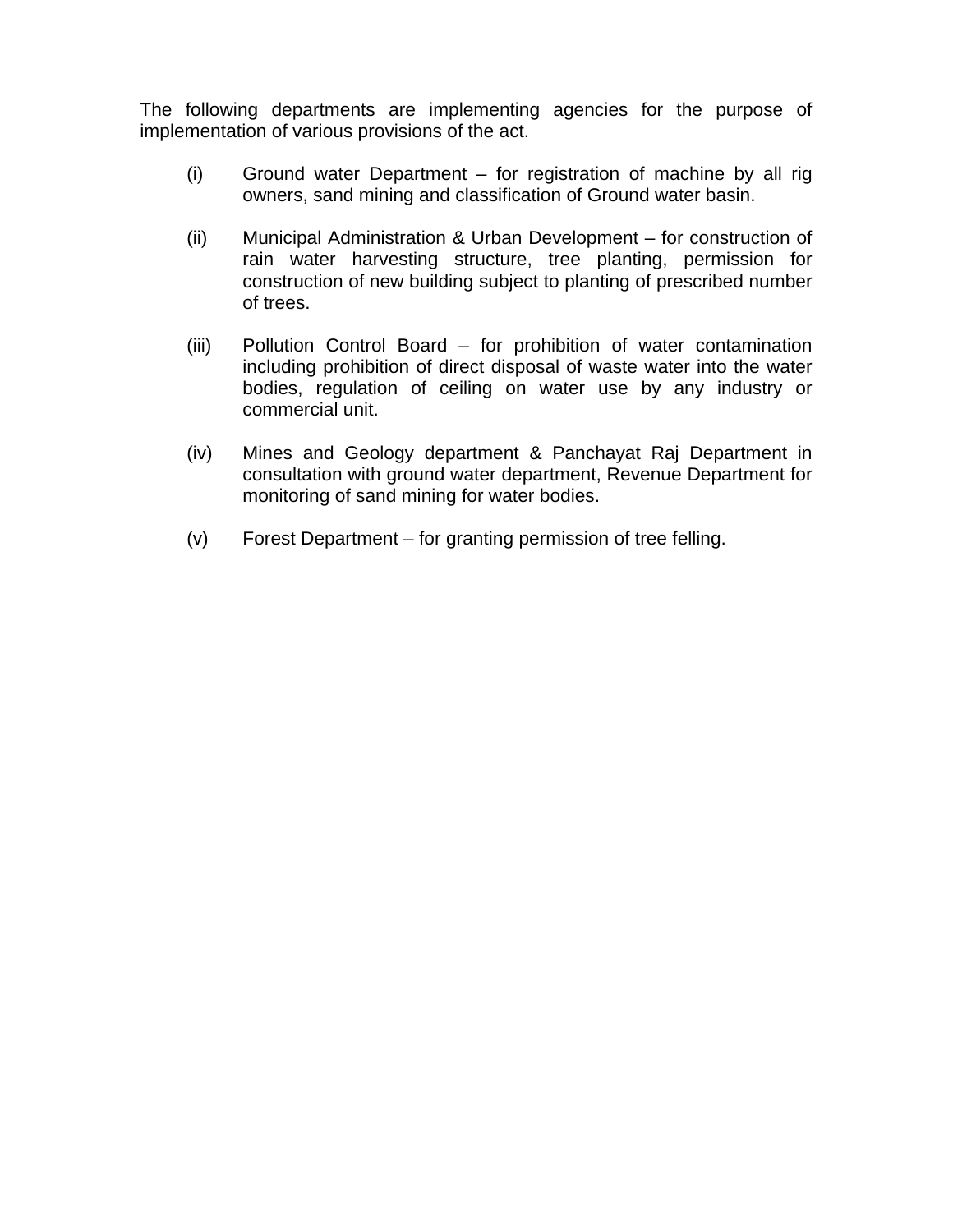The following departments are implementing agencies for the purpose of implementation of various provisions of the act.

- (i) Ground water Department for registration of machine by all rig owners, sand mining and classification of Ground water basin.
- (ii) Municipal Administration & Urban Development for construction of rain water harvesting structure, tree planting, permission for construction of new building subject to planting of prescribed number of trees.
- (iii) Pollution Control Board for prohibition of water contamination including prohibition of direct disposal of waste water into the water bodies, regulation of ceiling on water use by any industry or commercial unit.
- (iv) Mines and Geology department & Panchayat Raj Department in consultation with ground water department, Revenue Department for monitoring of sand mining for water bodies.
- (v) Forest Department for granting permission of tree felling.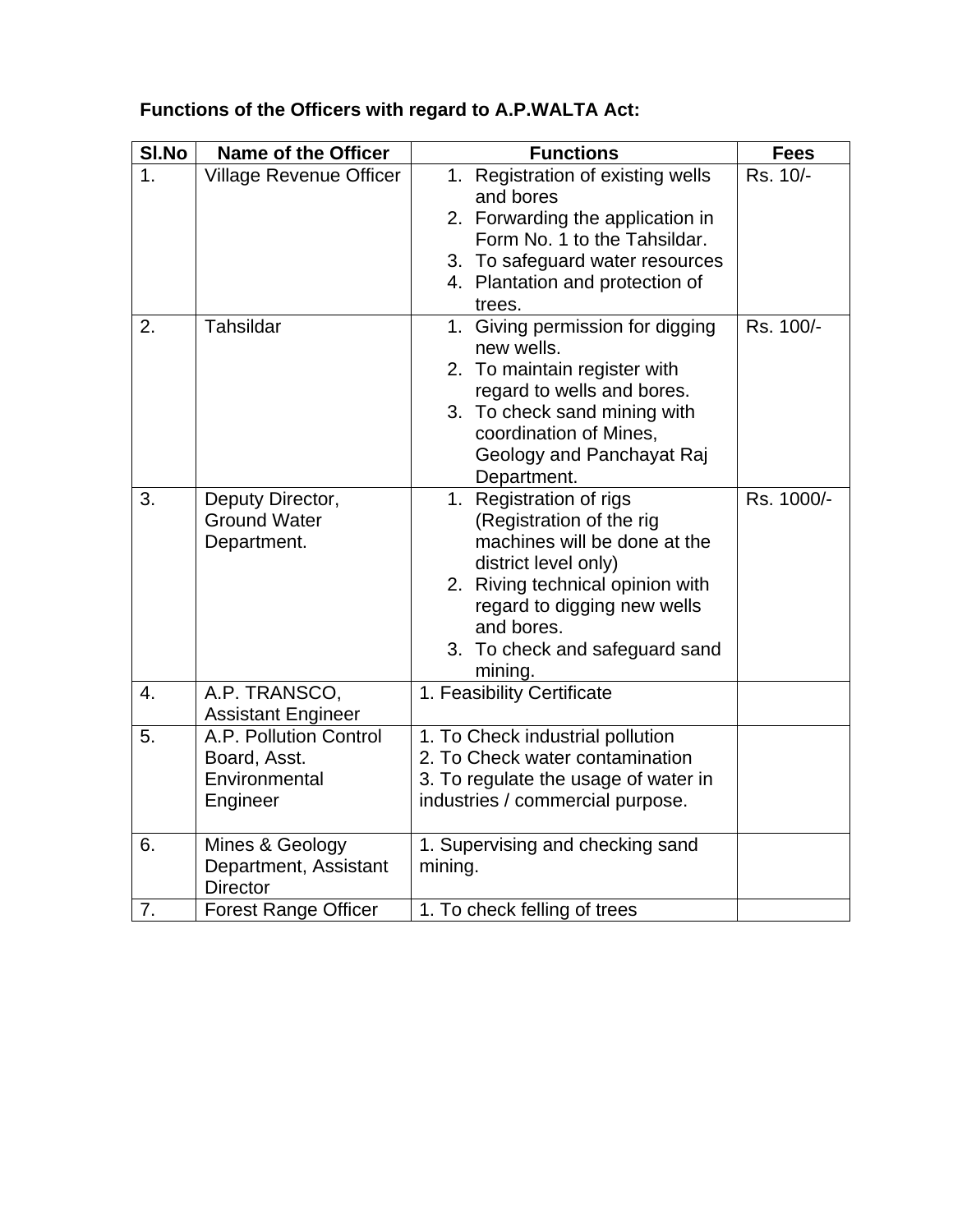| SI.No | <b>Name of the Officer</b>                                          | <b>Functions</b>                                                                                                                                                                                                                          | <b>Fees</b> |
|-------|---------------------------------------------------------------------|-------------------------------------------------------------------------------------------------------------------------------------------------------------------------------------------------------------------------------------------|-------------|
| 1.    | <b>Village Revenue Officer</b>                                      | 1. Registration of existing wells<br>and bores<br>2. Forwarding the application in<br>Form No. 1 to the Tahsildar.<br>3. To safeguard water resources<br>4. Plantation and protection of<br>trees.                                        | Rs. 10/-    |
| 2.    | Tahsildar                                                           | Giving permission for digging<br>1.<br>new wells.<br>2. To maintain register with<br>regard to wells and bores.<br>3. To check sand mining with<br>coordination of Mines,<br>Geology and Panchayat Raj<br>Department.                     | Rs. 100/-   |
| 3.    | Deputy Director,<br><b>Ground Water</b><br>Department.              | 1. Registration of rigs<br>(Registration of the rig<br>machines will be done at the<br>district level only)<br>2. Riving technical opinion with<br>regard to digging new wells<br>and bores.<br>3. To check and safeguard sand<br>mining. | Rs. 1000/-  |
| 4.    | A.P. TRANSCO,<br><b>Assistant Engineer</b>                          | 1. Feasibility Certificate                                                                                                                                                                                                                |             |
| 5.    | A.P. Pollution Control<br>Board, Asst.<br>Environmental<br>Engineer | 1. To Check industrial pollution<br>2. To Check water contamination<br>3. To regulate the usage of water in<br>industries / commercial purpose.                                                                                           |             |
| 6.    | Mines & Geology<br>Department, Assistant<br><b>Director</b>         | 1. Supervising and checking sand<br>mining.                                                                                                                                                                                               |             |
| 7.    | <b>Forest Range Officer</b>                                         | 1. To check felling of trees                                                                                                                                                                                                              |             |

# **Functions of the Officers with regard to A.P.WALTA Act:**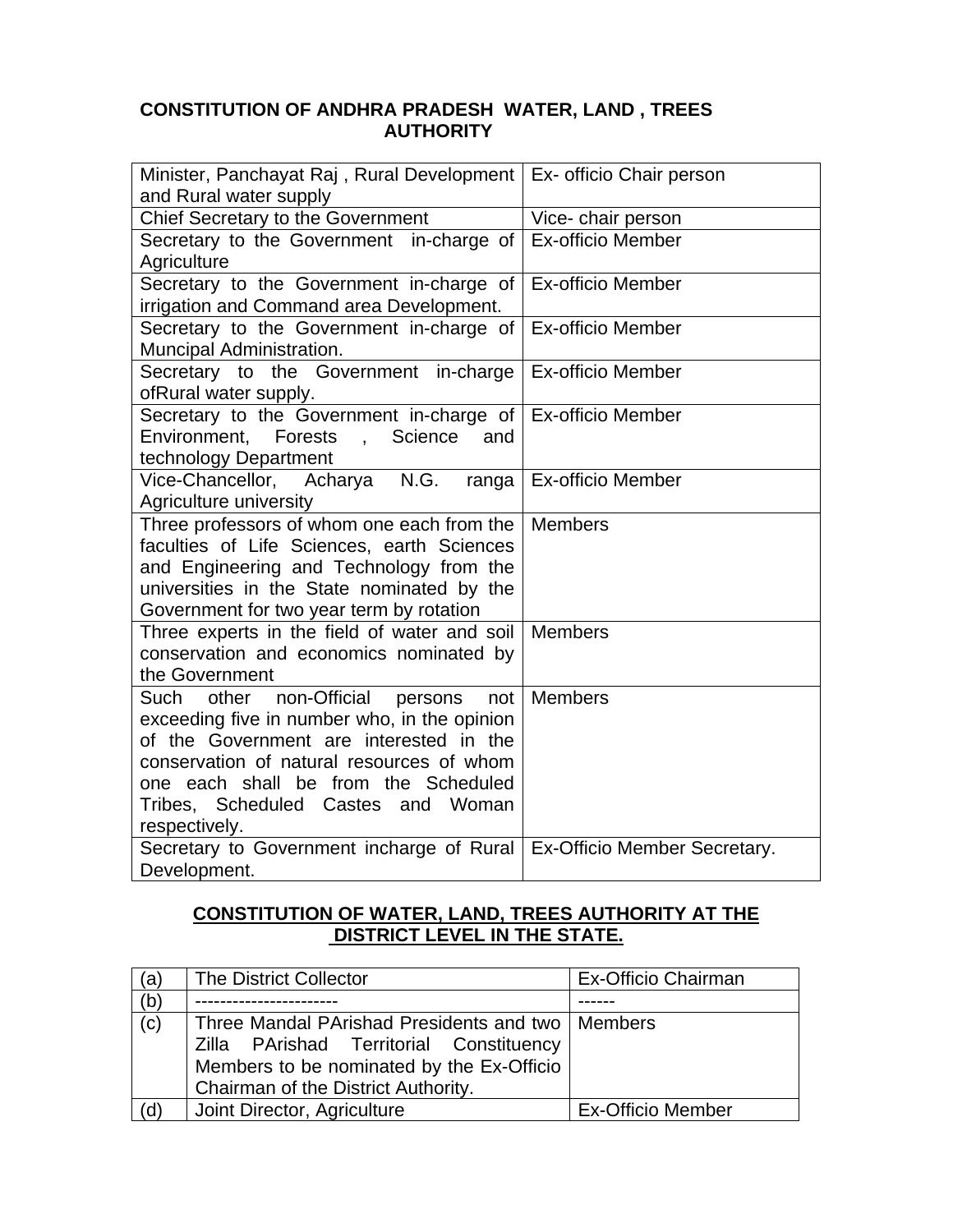# **CONSTITUTION OF ANDHRA PRADESH WATER, LAND , TREES AUTHORITY**

| Minister, Panchayat Raj, Rural Development   Ex- officio Chair person<br>and Rural water supply |                              |  |
|-------------------------------------------------------------------------------------------------|------------------------------|--|
| Chief Secretary to the Government                                                               | Vice- chair person           |  |
| Secretary to the Government in-charge of                                                        | <b>Ex-officio Member</b>     |  |
| Agriculture                                                                                     |                              |  |
| Secretary to the Government in-charge of                                                        | <b>Ex-officio Member</b>     |  |
| irrigation and Command area Development.                                                        |                              |  |
| Secretary to the Government in-charge of                                                        | <b>Ex-officio Member</b>     |  |
| Muncipal Administration.                                                                        |                              |  |
| Secretary to the Government in-charge                                                           | <b>Ex-officio Member</b>     |  |
| ofRural water supply.<br>Secretary to the Government in-charge of                               | <b>Ex-officio Member</b>     |  |
| Environment, Forests, Science<br>and                                                            |                              |  |
| technology Department                                                                           |                              |  |
| Vice-Chancellor, Acharya N.G.<br>ranga                                                          | <b>Ex-officio Member</b>     |  |
| Agriculture university                                                                          |                              |  |
| Three professors of whom one each from the                                                      | <b>Members</b>               |  |
| faculties of Life Sciences, earth Sciences                                                      |                              |  |
| and Engineering and Technology from the                                                         |                              |  |
| universities in the State nominated by the                                                      |                              |  |
| Government for two year term by rotation<br>Three experts in the field of water and soil        | <b>Members</b>               |  |
| conservation and economics nominated by                                                         |                              |  |
| the Government                                                                                  |                              |  |
| non-Official<br>Such<br>other<br>not<br>persons                                                 | <b>Members</b>               |  |
| exceeding five in number who, in the opinion                                                    |                              |  |
| of the Government are interested in the                                                         |                              |  |
| conservation of natural resources of whom                                                       |                              |  |
| one each shall be from the Scheduled                                                            |                              |  |
| Tribes, Scheduled Castes and Woman                                                              |                              |  |
| respectively.                                                                                   |                              |  |
| Secretary to Government incharge of Rural                                                       | Ex-Officio Member Secretary. |  |
| Development.                                                                                    |                              |  |

# **CONSTITUTION OF WATER, LAND, TREES AUTHORITY AT THE DISTRICT LEVEL IN THE STATE.**

| (a) | The District Collector                                                                                                                                                            | <b>Ex-Officio Chairman</b> |
|-----|-----------------------------------------------------------------------------------------------------------------------------------------------------------------------------------|----------------------------|
| (b) |                                                                                                                                                                                   |                            |
| (c) | Three Mandal PArishad Presidents and two   Members<br>Zilla PArishad Territorial Constituency<br>Members to be nominated by the Ex-Officio<br>Chairman of the District Authority. |                            |
| (d) | Joint Director, Agriculture                                                                                                                                                       | <b>Ex-Officio Member</b>   |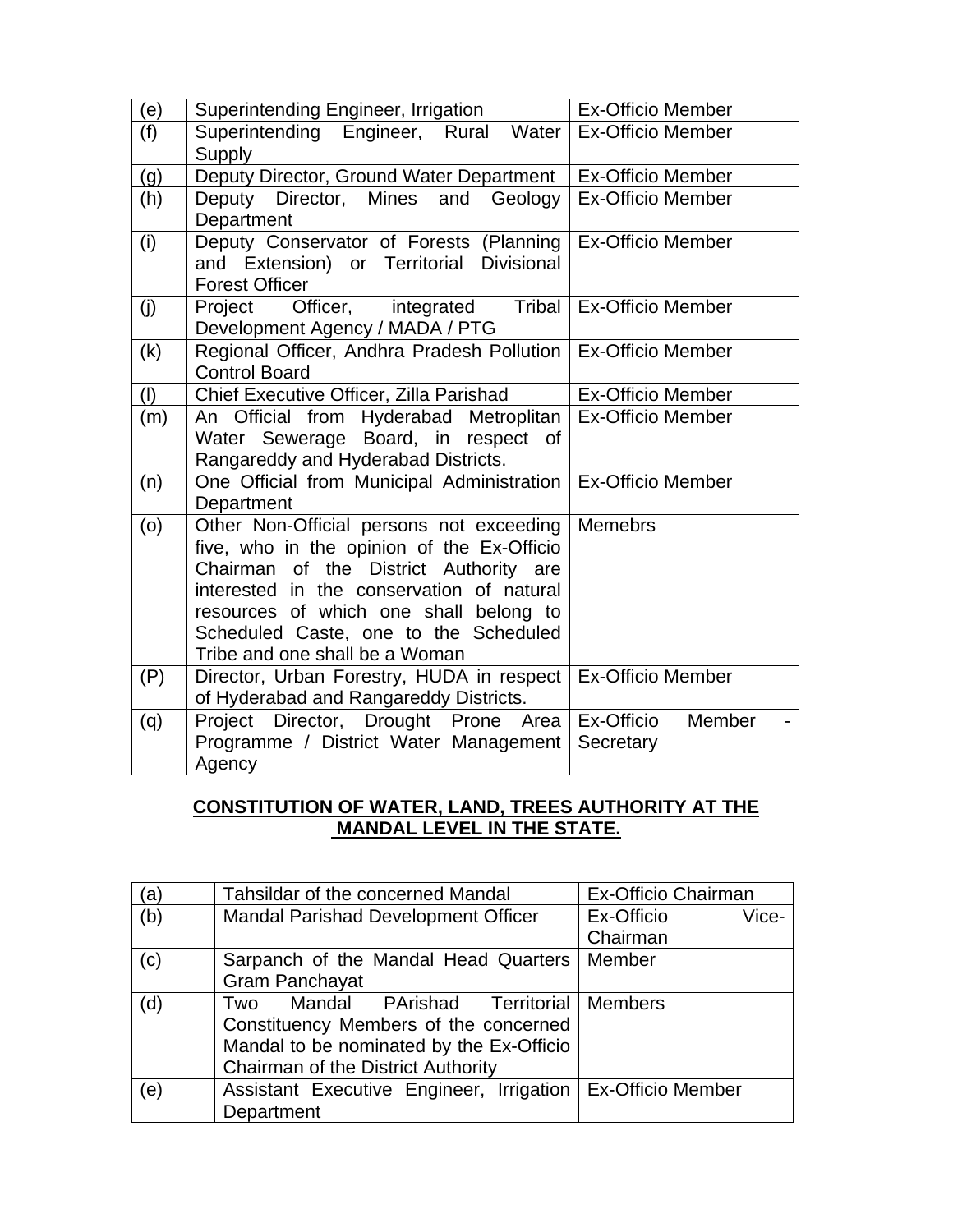| (e) | Superintending Engineer, Irrigation                                                                                                                                                                                                                                                                | <b>Ex-Officio Member</b>          |
|-----|----------------------------------------------------------------------------------------------------------------------------------------------------------------------------------------------------------------------------------------------------------------------------------------------------|-----------------------------------|
| (f) | Superintending Engineer, Rural Water<br>Supply                                                                                                                                                                                                                                                     | <b>Ex-Officio Member</b>          |
| (g) | Deputy Director, Ground Water Department                                                                                                                                                                                                                                                           | <b>Ex-Officio Member</b>          |
| (h) | Deputy Director, Mines and<br>Geology<br>Department                                                                                                                                                                                                                                                | <b>Ex-Officio Member</b>          |
| (i) | Deputy Conservator of Forests (Planning<br>and Extension) or Territorial Divisional<br><b>Forest Officer</b>                                                                                                                                                                                       | <b>Ex-Officio Member</b>          |
| (j) | Officer,<br>Tribal<br>integrated<br>Project<br>Development Agency / MADA / PTG                                                                                                                                                                                                                     | <b>Ex-Officio Member</b>          |
| (k) | Regional Officer, Andhra Pradesh Pollution<br><b>Control Board</b>                                                                                                                                                                                                                                 | <b>Ex-Officio Member</b>          |
| (1) | Chief Executive Officer, Zilla Parishad                                                                                                                                                                                                                                                            | <b>Ex-Officio Member</b>          |
| (m) | An Official from Hyderabad Metroplitan<br>Water Sewerage Board, in respect of<br>Rangareddy and Hyderabad Districts.                                                                                                                                                                               | <b>Ex-Officio Member</b>          |
| (n) | One Official from Municipal Administration<br>Department                                                                                                                                                                                                                                           | <b>Ex-Officio Member</b>          |
| (0) | Other Non-Official persons not exceeding<br>five, who in the opinion of the Ex-Officio<br>Chairman of the District Authority are<br>interested in the conservation of natural<br>resources of which one shall belong to<br>Scheduled Caste, one to the Scheduled<br>Tribe and one shall be a Woman | <b>Memebrs</b>                    |
| (P) | Director, Urban Forestry, HUDA in respect<br>of Hyderabad and Rangareddy Districts.                                                                                                                                                                                                                | <b>Ex-Officio Member</b>          |
| (q) | Project Director, Drought Prone Area<br>Programme / District Water Management<br>Agency                                                                                                                                                                                                            | Ex-Officio<br>Member<br>Secretary |

# **CONSTITUTION OF WATER, LAND, TREES AUTHORITY AT THE MANDAL LEVEL IN THE STATE.**

| (a) | Tahsildar of the concerned Mandal                            | Ex-Officio Chairman |
|-----|--------------------------------------------------------------|---------------------|
| (b) | <b>Mandal Parishad Development Officer</b>                   | Ex-Officio<br>Vice- |
|     |                                                              | Chairman            |
| (c) | Sarpanch of the Mandal Head Quarters                         | Member              |
|     | <b>Gram Panchayat</b>                                        |                     |
| (d) | Two Mandal PArishad Territorial Members                      |                     |
|     | Constituency Members of the concerned                        |                     |
|     | Mandal to be nominated by the Ex-Officio                     |                     |
|     | Chairman of the District Authority                           |                     |
| (e) | Assistant Executive Engineer, Irrigation   Ex-Officio Member |                     |
|     | Department                                                   |                     |